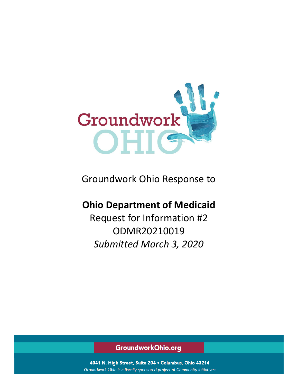

Groundwork Ohio Response to

# **Ohio Department of Medicaid**

Request for Information #2 ODMR20210019 *Submitted March 3, 2020*

GroundworkOhio.org

4041 N. High Street, Suite 204 . Columbus, Ohio 43214 Groundwork Ohio is a fiscally-sponsored project of Community Initiatives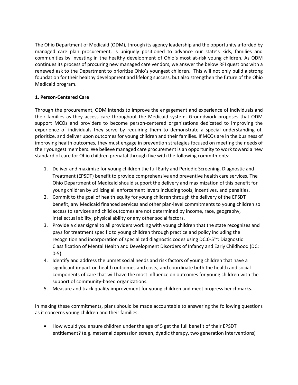The Ohio Department of Medicaid (ODM), through its agency leadership and the opportunity afforded by managed care plan procurement, is uniquely positioned to advance our state's kids, families and communities by investing in the healthy development of Ohio's most at-risk young children. As ODM continues its process of procuring new managed care vendors, we answer the below RFI questions with a renewed ask to the Department to prioritize Ohio's youngest children. This will not only build a strong foundation for their healthy development and lifelong success, but also strengthen the future of the Ohio Medicaid program.

# **1. Person-Centered Care**

Through the procurement, ODM intends to improve the engagement and experience of individuals and their families as they access care throughout the Medicaid system. Groundwork proposes that ODM support MCOs and providers to become person-centered organizations dedicated to improving the experience of individuals they serve by requiring them to demonstrate a special understanding of, prioritize, and deliver upon outcomes for young children and their families. If MCOs are in the business of improving health outcomes, they must engage in prevention strategies focused on meeting the needs of their youngest members. We believe managed care procurement is an opportunity to work toward a new standard of care for Ohio children prenatal through five with the following commitments:

- 1. Deliver and maximize for young children the full Early and Periodic Screening, Diagnostic and Treatment (EPSDT) benefit to provide comprehensive and preventive health care services. The Ohio Department of Medicaid should support the delivery and maximization of this benefit for young children by utilizing all enforcement levers including tools, incentives, and penalties.
- 2. Commit to the goal of health equity for young children through the delivery of the EPSDT benefit, any Medicaid financed services and other plan-level commitments to young children so access to services and child outcomes are not determined by income, race, geography, intellectual ability, physical ability or any other social factors.
- 3. Provide a clear signal to all providers working with young children that the state recognizes and pays for treatment specific to young children through practice and policy including the recognition and incorporation of specialized diagnostic codes using DC:0-5™: Diagnostic Classification of Mental Health and Development Disorders of Infancy and Early Childhood (DC: 0-5).
- 4. Identify and address the unmet social needs and risk factors of young children that have a significant impact on health outcomes and costs, and coordinate both the health and social components of care that will have the most influence on outcomes for young children with the support of community-based organizations.
- 5. Measure and track quality improvement for young children and meet progress benchmarks.

In making these commitments, plans should be made accountable to answering the following questions as it concerns young children and their families:

• How would you ensure children under the age of 5 get the full benefit of their EPSDT entitlement? (e.g. maternal depression screen, dyadic therapy, two generation interventions)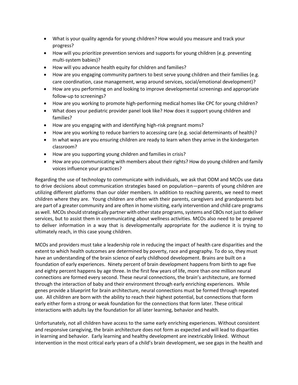- What is your quality agenda for young children? How would you measure and track your progress?
- How will you prioritize prevention services and supports for young children (e.g. preventing multi-system babies)?
- How will you advance health equity for children and families?
- How are you engaging community partners to best serve young children and their families (e.g. care coordination, case management, wrap around services, social/emotional development)?
- How are you performing on and looking to improve developmental screenings and appropriate follow-up to screenings?
- How are you working to promote high-performing medical homes like CPC for young children?
- What does your pediatric provider panel look like? How does it support young children and families?
- How are you engaging with and identifying high-risk pregnant moms?
- How are you working to reduce barriers to accessing care (e.g. social determinants of health)?
- In what ways are you ensuring children are ready to learn when they arrive in the kindergarten classroom?
- How are you supporting young children and families in crisis?
- How are you communicating with members about their rights? How do young children and family voices influence your practices?

Regarding the use of technology to communicate with individuals, we ask that ODM and MCOs use data to drive decisions about communication strategies based on population—parents of young children are utilizing different platforms than our older members. In addition to reaching parents, we need to meet children where they are. Young children are often with their parents, caregivers and grandparents but are part of a greater community and are often in home visiting, early intervention and child care programs as well. MCOs should strategically partner with other state programs, systems and CBOs not just to deliver services, but to assist them in communicating about wellness activities. MCOs also need to be prepared to deliver information in a way that is developmentally appropriate for the audience it is trying to ultimately reach, in this case young children.

MCOs and providers must take a leadership role in reducing the impact of health care disparities and the extent to which health outcomes are determined by poverty, race and geography. To do so, they must have an understanding of the brain science of early childhood development. Brains are built on a foundation of early experiences. Ninety percent of brain development happens from birth to age five and eighty percent happens by age three. In the first few years of life, more than one million neural connections are formed every second. These neural connections, the brain's architecture, are formed through the interaction of baby and their environment through early enriching experiences. While genes provide a blueprint for brain architecture, neural connections must be formed through repeated use. All children are born with the ability to reach their highest potential, but connections that form early either form a strong or weak foundation for the connections that form later. These critical interactions with adults lay the foundation for all later learning, behavior and health.

Unfortunately, not all children have access to the same early enriching experiences. Without consistent and responsive caregiving, the brain architecture does not form as expected and will lead to disparities in learning and behavior. Early learning and healthy development are inextricably linked. Without intervention in the most critical early years of a child's brain development, we see gaps in the health and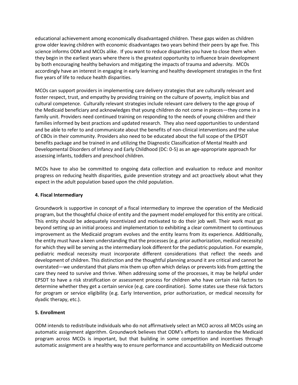educational achievement among economically disadvantaged children. These gaps widen as children grow older leaving children with economic disadvantages two years behind their peers by age five. This science informs ODM and MCOs alike. If you want to reduce disparities you have to close them when they begin in the earliest years where there is the greatest opportunity to influence brain development by both encouraging healthy behaviors and mitigating the impacts of trauma and adversity. MCOs accordingly have an interest in engaging in early learning and healthy development strategies in the first five years of life to reduce health disparities.

MCOs can support providers in implementing care delivery strategies that are culturally relevant and foster respect, trust, and empathy by providing training on the culture of poverty, implicit bias and cultural competence. Culturally relevant strategies include relevant care delivery to the age group of the Medicaid beneficiary and acknowledges that young children do not come in pieces—they come in a family unit. Providers need continued training on responding to the needs of young children and their families informed by best practices and updated research. They also need opportunities to understand and be able to refer to and communicate about the benefits of non-clinical interventions and the value of CBOs in their community. Providers also need to be educated about the full scope of the EPSDT benefits package and be trained in and utilizing the Diagnostic Classification of Mental Health and Developmental Disorders of Infancy and Early Childhood (DC: 0-5) as an age-appropriate approach for assessing infants, toddlers and preschool children.

MCOs have to also be committed to ongoing data collection and evaluation to reduce and monitor progress on reducing health disparities, guide prevention strategy and act proactively about what they expect in the adult population based upon the child population.

# **4. Fiscal Intermediary**

Groundwork is supportive in concept of a fiscal intermediary to improve the operation of the Medicaid program, but the thoughtful choice of entity and the payment model employed for this entity are critical. This entity should be adequately incentivized and motivated to do their job well. Their work must go beyond setting up an initial process and implementation to exhibiting a clear commitment to continuous improvement as the Medicaid program evolves and the entity learns from its experience. Additionally, the entity must have a keen understanding that the processes (e.g. prior authorization, medical necessity) for which they will be serving as the intermediary look different for the pediatric population. For example, pediatric medical necessity must incorporate different considerations that reflect the needs and development of children. This distinction and the thoughtful planning around it are critical and cannot be overstated—we understand that plans mix them up often which delays or prevents kids from getting the care they need to survive and thrive. When addressing some of the processes, it may be helpful under EPSDT to have a risk stratification or assessment process for children who have certain risk factors to determine whether they get a certain service (e.g. care coordination). Some states use these risk factors for program or service eligibility (e.g. Early Intervention, prior authorization, or medical necessity for dyadic therapy, etc.).

# **5. Enrollment**

ODM intends to redistribute individuals who do not affirmatively select an MCO across all MCOs using an automatic assignment algorithm. Groundwork believes that ODM's efforts to standardize the Medicaid program across MCOs is important, but that building in some competition and incentives through automatic assignment are a healthy way to ensure performance and accountability on Medicaid outcome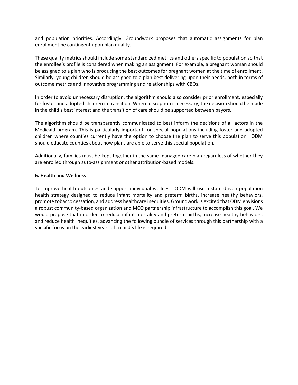and population priorities. Accordingly, Groundwork proposes that automatic assignments for plan enrollment be contingent upon plan quality.

These quality metrics should include some standardized metrics and others specific to population so that the enrollee's profile is considered when making an assignment. For example, a pregnant woman should be assigned to a plan who is producing the best outcomes for pregnant women at the time of enrollment. Similarly, young children should be assigned to a plan best delivering upon their needs, both in terms of outcome metrics and innovative programming and relationships with CBOs.

In order to avoid unnecessary disruption, the algorithm should also consider prior enrollment, especially for foster and adopted children in transition. Where disruption is necessary, the decision should be made in the child's best interest and the transition of care should be supported between payors.

The algorithm should be transparently communicated to best inform the decisions of all actors in the Medicaid program. This is particularly important for special populations including foster and adopted children where counties currently have the option to choose the plan to serve this population. ODM should educate counties about how plans are able to serve this special population.

Additionally, families must be kept together in the same managed care plan regardless of whether they are enrolled through auto-assignment or other attribution-based models.

#### **6. Health and Wellness**

To improve health outcomes and support individual wellness, ODM will use a state-driven population health strategy designed to reduce infant mortality and preterm births, increase healthy behaviors, promote tobacco cessation, and address healthcare inequities. Groundwork is excited that ODM envisions a robust community-based organization and MCO partnership infrastructure to accomplish this goal. We would propose that in order to reduce infant mortality and preterm births, increase healthy behaviors, and reduce health inequities, advancing the following bundle of services through this partnership with a specific focus on the earliest years of a child's life is required: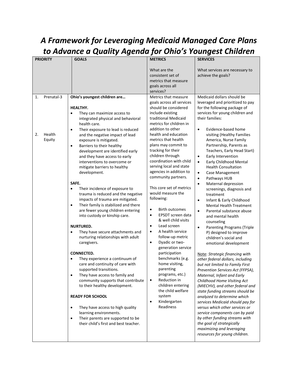# *A Framework for Leveraging Medicaid Managed Care Plans to Advance a Quality Agenda for Ohio's Youngest Children*

| <b>PRIORITY</b>        | <b>GOALS</b>                                                                                                                                                                                                                                                                                                                                                                                                                                                                                                                                                                                                                                                                                                                                                                                                                                                                                                                                                                                                                                                                                                                                                                                                                                                                                | <b>METRICS</b>                                                                                                                                                                                                                                                                                                                                                                                                                                                                                                                                                                                                                                                                                                                                                                                                                                                                      | <b>SERVICES</b>                                                                                                                                                                                                                                                                                                                                                                                                                                                                                                                                                                                                                                                                                                                                                                                                                                                                                                                                                                                                                                                                                                                                                                                                                                                                                                                                        |
|------------------------|---------------------------------------------------------------------------------------------------------------------------------------------------------------------------------------------------------------------------------------------------------------------------------------------------------------------------------------------------------------------------------------------------------------------------------------------------------------------------------------------------------------------------------------------------------------------------------------------------------------------------------------------------------------------------------------------------------------------------------------------------------------------------------------------------------------------------------------------------------------------------------------------------------------------------------------------------------------------------------------------------------------------------------------------------------------------------------------------------------------------------------------------------------------------------------------------------------------------------------------------------------------------------------------------|-------------------------------------------------------------------------------------------------------------------------------------------------------------------------------------------------------------------------------------------------------------------------------------------------------------------------------------------------------------------------------------------------------------------------------------------------------------------------------------------------------------------------------------------------------------------------------------------------------------------------------------------------------------------------------------------------------------------------------------------------------------------------------------------------------------------------------------------------------------------------------------|--------------------------------------------------------------------------------------------------------------------------------------------------------------------------------------------------------------------------------------------------------------------------------------------------------------------------------------------------------------------------------------------------------------------------------------------------------------------------------------------------------------------------------------------------------------------------------------------------------------------------------------------------------------------------------------------------------------------------------------------------------------------------------------------------------------------------------------------------------------------------------------------------------------------------------------------------------------------------------------------------------------------------------------------------------------------------------------------------------------------------------------------------------------------------------------------------------------------------------------------------------------------------------------------------------------------------------------------------------|
|                        |                                                                                                                                                                                                                                                                                                                                                                                                                                                                                                                                                                                                                                                                                                                                                                                                                                                                                                                                                                                                                                                                                                                                                                                                                                                                                             |                                                                                                                                                                                                                                                                                                                                                                                                                                                                                                                                                                                                                                                                                                                                                                                                                                                                                     |                                                                                                                                                                                                                                                                                                                                                                                                                                                                                                                                                                                                                                                                                                                                                                                                                                                                                                                                                                                                                                                                                                                                                                                                                                                                                                                                                        |
|                        |                                                                                                                                                                                                                                                                                                                                                                                                                                                                                                                                                                                                                                                                                                                                                                                                                                                                                                                                                                                                                                                                                                                                                                                                                                                                                             | What are the<br>consistent set of<br>metrics that measure<br>goals across all<br>services?                                                                                                                                                                                                                                                                                                                                                                                                                                                                                                                                                                                                                                                                                                                                                                                          | What services are necessary to<br>achieve the goals?                                                                                                                                                                                                                                                                                                                                                                                                                                                                                                                                                                                                                                                                                                                                                                                                                                                                                                                                                                                                                                                                                                                                                                                                                                                                                                   |
| Prenatal-3<br>1.       |                                                                                                                                                                                                                                                                                                                                                                                                                                                                                                                                                                                                                                                                                                                                                                                                                                                                                                                                                                                                                                                                                                                                                                                                                                                                                             | Metrics that measure                                                                                                                                                                                                                                                                                                                                                                                                                                                                                                                                                                                                                                                                                                                                                                                                                                                                |                                                                                                                                                                                                                                                                                                                                                                                                                                                                                                                                                                                                                                                                                                                                                                                                                                                                                                                                                                                                                                                                                                                                                                                                                                                                                                                                                        |
| 2.<br>Health<br>Equity | Ohio's youngest children are<br>HEALTHY.<br>They can maximize access to<br>$\bullet$<br>integrated physical and behavioral<br>health care.<br>Their exposure to lead is reduced<br>$\bullet$<br>and the negative impact of lead<br>exposure is mitigated.<br>Barriers to their healthy<br>$\bullet$<br>development are identified early<br>and they have access to early<br>interventions to overcome or<br>mitigate barriers to healthy<br>development.<br>SAFE.<br>Their incidence of exposure to<br>$\bullet$<br>trauma is reduced and the negative<br>impacts of trauma are mitigated.<br>Their family is stabilized and there<br>$\bullet$<br>are fewer young children entering<br>into custody or kinship care.<br><b>NURTURED.</b><br>They have secure attachments and<br>$\bullet$<br>nurturing relationships with adult<br>caregivers.<br><b>CONNECTED.</b><br>They experience a continuum of<br>care and continuity of care with<br>supported transitions.<br>They have access to family and<br>$\bullet$<br>community supports that contribute<br>to their healthy development.<br><b>READY FOR SCHOOL</b><br>They have access to high quality<br>$\bullet$<br>learning environments.<br>Their parents are supported to be<br>$\bullet$<br>their child's first and best teacher. | goals across all services<br>should be considered<br>include existing<br>traditional Medicaid<br>metrics for children in<br>addition to other<br>health and education<br>metrics that health<br>plans may commit to<br>tracking for their<br>children through<br>coordination with child<br>serving local and state<br>agencies in addition to<br>community partners.<br>This core set of metrics<br>would measure the<br>following:<br><b>Birth outcomes</b><br>٠<br>EPSDT screen data<br>$\bullet$<br>& well child visits<br>Lead screen<br>$\bullet$<br>A health service<br>$\bullet$<br>follow-up metric<br>Dyadic or two-<br>$\bullet$<br>generation service<br>participation<br>benchmarks (e.g.<br>home visiting,<br>parenting<br>programs, etc.)<br>Reduction in<br>$\bullet$<br>children entering<br>the child welfare<br>system<br>Kindergarten<br>$\bullet$<br>Readiness | Medicaid dollars should be<br>leveraged and prioritized to pay<br>for the following package of<br>services for young children and<br>their families:<br>Evidence-based home<br>$\bullet$<br>visiting (Healthy Families<br>America, Nurse Family<br>Partnership, Parents as<br>Teachers, Early Head Start)<br>Early Intervention<br>$\bullet$<br>Early Childhood Mental<br>$\bullet$<br><b>Health Consultation</b><br>$\bullet$<br>Case Management<br>Pathways HUB<br>$\bullet$<br>Maternal depression<br>$\bullet$<br>screenings, diagnosis and<br>treatment<br>Infant & Early Childhood<br>$\bullet$<br><b>Mental Health Treatment</b><br>Parental substance abuse<br>$\bullet$<br>and mental health<br>counseling<br><b>Parenting Programs (Triple</b><br>P) designed to improve<br>children's social and<br>emotional development<br>Note: Strategic financing with<br>other federal dollars, including<br>but not limited to Family First<br>Prevention Services Act (FFPSA),<br>Maternal, Infant and Early<br>Childhood Home Visiting Act<br>(MIECHV), and other federal and<br>state funding streams should be<br>analyzed to determine which<br>services Medicaid should pay for<br>versus which other services or<br>service components can by paid<br>by other funding streams with<br>the goal of strategically<br>maximizing and leveraging |
|                        |                                                                                                                                                                                                                                                                                                                                                                                                                                                                                                                                                                                                                                                                                                                                                                                                                                                                                                                                                                                                                                                                                                                                                                                                                                                                                             |                                                                                                                                                                                                                                                                                                                                                                                                                                                                                                                                                                                                                                                                                                                                                                                                                                                                                     | resources for young children.                                                                                                                                                                                                                                                                                                                                                                                                                                                                                                                                                                                                                                                                                                                                                                                                                                                                                                                                                                                                                                                                                                                                                                                                                                                                                                                          |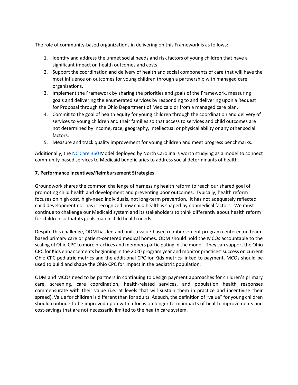The role of community-based organizations in delivering on this Framework is as follows:

- 1. Identify and address the unmet social needs and risk factors of young children that have a significant impact on health outcomes and costs.
- 2. Support the coordination and delivery of health and social components of care that will have the most influence on outcomes for young children through a partnership with managed care organizations.
- 3. Implement the Framework by sharing the priorities and goals of the Framework, measuring goals and delivering the enumerated services by responding to and delivering upon a Request for Proposal through the Ohio Department of Medicaid or from a managed care plan.
- 4. Commit to the goal of health equity for young children through the coordination and delivery of services to young children and their families so that access to services and child outcomes are not determined by income, race, geography, intellectual or physical ability or any other social factors.
- 5. Measure and track quality improvement for young children and meet progress benchmarks.

Additionally, the [NC Care 360](https://nccare360.org/) Model deployed by North Carolina is worth studying as a model to connect community-based services to Medicaid beneficiaries to address social determinants of health.

# **7. Performance Incentives/Reimbursement Strategies**

Groundwork shares the common challenge of harnessing health reform to reach our shared goal of promoting child health and development and preventing poor outcomes. Typically, health reform focuses on high cost, high-need individuals, not long-term prevention. It has not adequately reflected child development nor has it recognized how child health is shaped by nonmedical factors. We must continue to challenge our Medicaid system and its stakeholders to think differently about health reform for children so that its goals match child health needs.

Despite this challenge, ODM has led and built a value-based reimbursement program centered on teambased primary care or patient-centered medical homes. ODM should hold the MCOs accountable to the scaling of Ohio CPC to more practices and members participating in the model. They can support the Ohio CPC for Kids enhancements beginning in the 2020 program year and monitor practices' success on current Ohio CPC pediatric metrics and the additional CPC for Kids metrics linked to payment. MCOs should be used to build and shape the Ohio CPC for impact in the pediatric population.

ODM and MCOs need to be partners in continuing to design payment approaches for children's primary care, screening, care coordination, health-related services, and population health responses commensurate with their value (i.e. at levels that will sustain them in practice and incentivize their spread). Value for children is different than for adults. As such, the definition of "value" for young children should continue to be improved upon with a focus on longer term impacts of health improvements and cost-savings that are not necessarily limited to the health care system.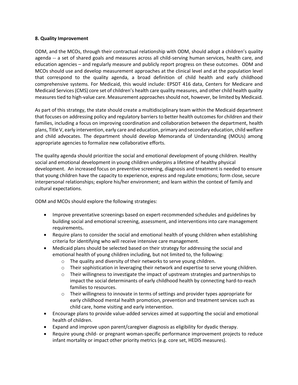#### **8. Quality Improvement**

ODM, and the MCOs, through their contractual relationship with ODM, should adopt a children's quality agenda -- a set of shared goals and measures across all child-serving human services, health care, and education agencies – and regularly measure and publicly report progress on these outcomes. ODM and MCOs should use and develop measurement approaches at the clinical level and at the population level that correspond to the quality agenda, a broad definition of child health and early childhood comprehensive systems. For Medicaid, this would include: EPSDT 416 data, Centers for Medicare and Medicaid Services (CMS) core set of children's health care quality measures, and other child health quality measures tied to high-value care. Measurement approaches should not, however, be limited by Medicaid.

As part of this strategy, the state should create a multidisciplinary team within the Medicaid department that focuses on addressing policy and regulatory barriers to better health outcomes for children and their families, including a focus on improving coordination and collaboration between the department, health plans, Title V, early intervention, early care and education, primary and secondary education, child welfare and child advocates. The department should develop Memoranda of Understanding (MOUs) among appropriate agencies to formalize new collaborative efforts.

The quality agenda should prioritize the social and emotional development of young children. Healthy social and emotional development in young children underpins a lifetime of healthy physical development. An increased focus on preventive screening, diagnosis and treatment is needed to ensure that young children have the capacity to experience, express and regulate emotions; form close, secure interpersonal relationships; explore his/her environment; and learn within the context of family and cultural expectations.

ODM and MCOs should explore the following strategies:

- Improve preventative screenings based on expert-recommended schedules and guidelines by building social and emotional screening, assessment, and interventions into care management requirements**.**
- Require plans to consider the social and emotional health of young children when establishing criteria for identifying who will receive intensive care management.
- Medicaid plans should be selected based on their strategy for addressing the social and emotional health of young children including, but not limited to, the following:
	- o The quality and diversity of their networks to serve young children.
	- $\circ$  Their sophistication in leveraging their network and expertise to serve young children.
	- $\circ$  Their willingness to investigate the impact of upstream strategies and partnerships to impact the social determinants of early childhood health by connecting hard-to-reach families to resources.
	- $\circ$  Their willingness to innovate in terms of settings and provider types appropriate for early childhood mental health promotion, prevention and treatment services such as child care, home visiting and early intervention.
- Encourage plans to provide value-added services aimed at supporting the social and emotional health of children.
- Expand and improve upon parent/caregiver diagnosis as eligibility for dyadic therapy.
- Require young child- or pregnant woman-specific performance improvement projects to reduce infant mortality or impact other priority metrics (e.g. core set, HEDIS measures).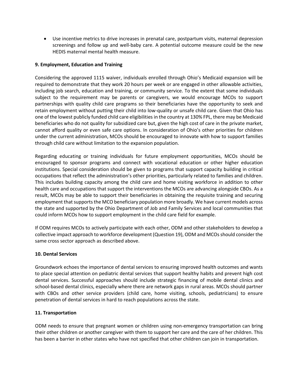• Use incentive metrics to drive increases in prenatal care, postpartum visits, maternal depression screenings and follow up and well-baby care. A potential outcome measure could be the new HEDIS maternal mental health measure.

# **9. Employment, Education and Training**

Considering the approved 1115 waiver, individuals enrolled through Ohio's Medicaid expansion will be required to demonstrate that they work 20 hours per week or are engaged in other allowable activities, including job search, education and training, or community service. To the extent that some individuals subject to the requirement may be parents or caregivers, we would encourage MCOs to support partnerships with quality child care programs so their beneficiaries have the opportunity to seek and retain employment without putting their child into low-quality or unsafe child care. Given that Ohio has one of the lowest publicly funded child care eligibilities in the country at 130% FPL, there may be Medicaid beneficiaries who do not quality for subsidized care but, given the high cost of care in the private market, cannot afford quality or even safe care options. In consideration of Ohio's other priorities for children under the current administration, MCOs should be encouraged to innovate with how to support families through child care without limitation to the expansion population.

Regarding educating or training individuals for future employment opportunities, MCOs should be encouraged to sponsor programs and connect with vocational education or other higher education institutions. Special consideration should be given to programs that support capacity building in critical occupations that reflect the administration's other priorities, particularly related to families and children. This includes building capacity among the child care and home visiting workforce in addition to other health care and occupations that support the interventions the MCOs are advancing alongside CBOs. As a result, MCOs may be able to support their beneficiaries in obtaining the requisite training and securing employment that supports the MCO beneficiary population more broadly. We have current models across the state and supported by the Ohio Department of Job and Family Services and local communities that could inform MCOs how to support employment in the child care field for example.

If ODM requires MCOs to actively participate with each other, ODM and other stakeholders to develop a collective impact approach to workforce development (Question 19), ODM and MCOs should consider the same cross sector approach as described above.

## **10. Dental Services**

Groundwork echoes the importance of dental services to ensuring improved health outcomes and wants to place special attention on pediatric dental services that support healthy habits and prevent high cost dental services. Successful approaches should include strategic financing of mobile dental clinics and school-based dental clinics, especially where there are network gaps in rural areas. MCOs should partner with CBOs and other service providers (child care, home visiting, schools, pediatricians) to ensure penetration of dental services in hard to reach populations across the state.

## **11. Transportation**

ODM needs to ensure that pregnant women or children using non-emergency transportation can bring their other children or another caregiver with them to support her care and the care of her children. This has been a barrier in other states who have not specified that other children can join in transportation.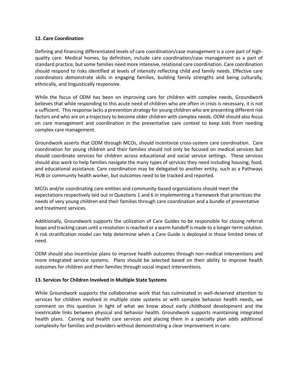#### **12. Care Coordination**

Defining and financing differentiated levels of care coordination/case management is a core part of highquality care. Medical homes, by definition, include care coordination/case management as a part of standard practice, but some families need more intensive, relational care coordination. Care coordination should respond to risks identified at levels of intensity reflecting child and family needs. Effective care coordinators demonstrate skills in engaging families, building family strengths and being culturally, ethnically, and linguistically responsive.

While the focus of ODM has been on improving care for children with complex needs, Groundwork believes that while responding to this acute need of children who are often in crisis is necessary, it is not a sufficient. This response lacks a prevention strategy for young children who are presenting different risk factors and who are on a trajectory to become older children with complex needs. ODM should also focus on care management and coordination in the preventative care context to keep kids from needing complex care management.

Groundwork asserts that ODM through MCOs, should incentivize cross-system care coordination. Care coordination for young children and their families should not only be focused on medical services but should coordinate services for children across educational and social service settings. These services should also work to help families navigate the many types of services they need including housing, food, and educational assistance. Care coordination may be delegated to another entity, such as a Pathways HUB or community health worker, but outcomes need to be tracked and reported.

MCOs and/or coordinating care entities and community-based organizations should meet the expectations respectively laid out in Questions 1 and 6 in implementing a framework that prioritizes the needs of very young children and their families through care coordination and a bundle of preventative and treatment services.

Additionally, Groundwork supports the utilization of Care Guides to be responsible for closing referral loops and tracking cases until a resolution is reached or a warm handoff is made to a longer-term solution. A risk stratification model can help determine when a Care Guide is deployed in those limited times of need.

ODM should also incentivize plans to improve health outcomes through non-medical interventions and more integrated service systems. Plans should be selected based on their ability to improve health outcomes for children and their families through social impact interventions.

## **13. Services for Children Involved in Multiple State Systems**

While Groundwork supports the collaborative work that has culminated in well-deserved attention to services for children involved in multiple state systems or with complex behavior health needs, we comment on this question in light of what we know about early childhood development and the inextricable links between physical and behavior health. Groundwork supports maintaining integrated health plans. Carving out health care services and placing them in a specialty plan adds additional complexity for families and providers without demonstrating a clear improvement in care.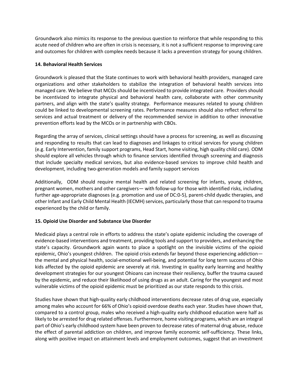Groundwork also mimics its response to the previous question to reinforce that while responding to this acute need of children who are often in crisis is necessary, it is not a sufficient response to improving care and outcomes for children with complex needs because it lacks a prevention strategy for young children.

# **14. Behavioral Health Services**

Groundwork is pleased that the State continues to work with behavioral health providers, managed care organizations and other stakeholders to stabilize the integration of behavioral health services into managed care. We believe that MCOs should be incentivized to provide integrated care. Providers should be incentivized to integrate physical and behavioral health care, collaborate with other community partners, and align with the state's quality strategy. Performance measures related to young children could be linked to developmental screening rates. Performance measures should also reflect referral to services and actual treatment or delivery of the recommended service in addition to other innovative prevention efforts lead by the MCOs or in partnership with CBOs.

Regarding the array of services, clinical settings should have a process for screening, as well as discussing and responding to results that can lead to diagnoses and linkages to critical services for young children (e.g. Early Intervention, family support programs, Head Start, home visiting, high quality child care). ODM should explore all vehicles through which to finance services identified through screening and diagnosis that include specialty medical services, but also evidence-based services to improve child health and development, including two-generation models and family support services

Additionally, ODM should require mental health and related screening for infants, young children, pregnant women, mothers and other caregivers— with follow-up for those with identified risks, including further age-appropriate diagnoses (e.g. promotion and use of DC:0-5), parent-child dyadic therapies, and other Infant and Early Child Mental Health (IECMH) services, particularly those that can respond to trauma experienced by the child or family.

# **15. Opioid Use Disorder and Substance Use Disorder**

Medicaid plays a central role in efforts to address the state's opiate epidemic including the coverage of evidence-based interventions and treatment, providing tools and support to providers, and enhancing the state's capacity. Groundwork again wants to place a spotlight on the invisible victims of the opioid epidemic, Ohio's youngest children. The opioid crisis extends far beyond those experiencing addictionthe mental and physical health, social-emotional well-being, and potential for long term success of Ohio kids affected by the opioid epidemic are severely at risk. Investing in quality early learning and healthy development strategies for our youngest Ohioans can increase their resiliency, buffer the trauma caused by the epidemic, and reduce their likelihood of using drugs as an adult. Caring for the youngest and most vulnerable victims of the opioid epidemic must be prioritized as our state responds to this crisis.

Studies have shown that high-quality early childhood interventions decrease rates of drug use, especially among males who account for 66% of Ohio's opioid overdose deaths each year. Studies have shown that, compared to a control group, males who received a high-quality early childhood education were half as likely to be arrested for drug related offenses. Furthermore, home visiting programs, which are an integral part of Ohio's early childhood system have been proven to decrease rates of maternal drug abuse, reduce the effect of parental addiction on children, and improve family economic self-sufficiency. These links, along with positive impact on attainment levels and employment outcomes, suggest that an investment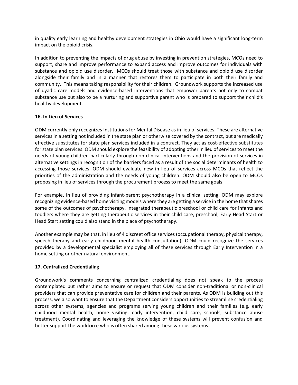in quality early learning and healthy development strategies in Ohio would have a significant long-term impact on the opioid crisis.

In addition to preventing the impacts of drug abuse by investing in prevention strategies, MCOs need to support, share and improve performance to expand access and improve outcomes for individuals with substance and opioid use disorder. MCOs should treat those with substance and opioid use disorder alongside their family and in a manner that restores them to participate in both their family and community. This means taking responsibility for their children. Groundwork supports the increased use of dyadic care models and evidence-based interventions that empower parents not only to combat substance use but also to be a nurturing and supportive parent who is prepared to support their child's healthy development.

# **16. In Lieu of Services**

ODM currently only recognizes Institutions for Mental Disease as in lieu of services. These are alternative services in a setting not included in the state plan or otherwise covered by the contract, but are medically effective substitutes for state plan services included in a contract. They act as cost-effective substitutes for state plan services. ODM should explore the feasibility of adopting other in lieu of services to meet the needs of young children particularly through non-clinical interventions and the provision of services in alternative settings in recognition of the barriers faced as a result of the social determinants of health to accessing those services. ODM should evaluate new in lieu of services across MCOs that reflect the priorities of the administration and the needs of young children. ODM should also be open to MCOs proposing in lieu of services through the procurement process to meet the same goals.

For example, in lieu of providing infant-parent psychotherapy in a clinical setting, ODM may explore recognizing evidence-based home visiting models where they are getting a service in the home that shares some of the outcomes of psychotherapy. Integrated therapeutic preschool or child care for infants and toddlers where they are getting therapeutic services in their child care, preschool, Early Head Start or Head Start setting could also stand in the place of psychotherapy.

Another example may be that, in lieu of 4 discreet office services (occupational therapy, physical therapy, speech therapy and early childhood mental health consultation), ODM could recognize the services provided by a developmental specialist employing all of these services through Early Intervention in a home setting or other natural environment.

# **17. Centralized Credentialing**

Groundwork's comments concerning centralized credentialing does not speak to the process contemplated but rather aims to ensure or request that ODM consider non-traditional or non-clinical providers that can provide preventative care for children and their parents. As ODM is building out this process, we also want to ensure that the Department considers opportunities to streamline credentialing across other systems, agencies and programs serving young children and their families (e.g. early childhood mental health, home visiting, early intervention, child care, schools, substance abuse treatment). Coordinating and leveraging the knowledge of these systems will prevent confusion and better support the workforce who is often shared among these various systems.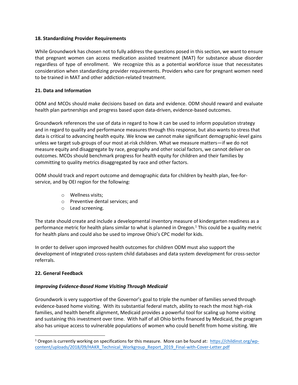## **18. Standardizing Provider Requirements**

While Groundwork has chosen not to fully address the questions posed in this section, we want to ensure that pregnant women can access medication assisted treatment (MAT) for substance abuse disorder regardless of type of enrollment. We recognize this as a potential workforce issue that necessitates consideration when standardizing provider requirements. Providers who care for pregnant women need to be trained in MAT and other addiction-related treatment.

## **21. Data and Information**

ODM and MCOs should make decisions based on data and evidence. ODM should reward and evaluate health plan partnerships and progress based upon data-driven, evidence-based outcomes.

Groundwork references the use of data in regard to how it can be used to inform population strategy and in regard to quality and performance measures through this response, but also wants to stress that data is critical to advancing health equity. We know we cannot make significant demographic-level gains unless we target sub-groups of our most at-risk children. What we measure matters—if we do not measure equity and disaggregate by race, geography and other social factors, we cannot deliver on outcomes. MCOs should benchmark progress for health equity for children and their families by committing to quality metrics disaggregated by race and other factors.

ODM should track and report outcome and demographic data for children by health plan, fee-forservice, and by OEI region for the following:

- o Wellness visits;
- o Preventive dental services; and
- o Lead screening.

The state should create and include a developmental inventory measure of kindergarten readiness as a performance metric for health plans similar to what is planned in Oregon.<sup>1</sup> This could be a quality metric for health plans and could also be used to improve Ohio's CPC model for kids.

In order to deliver upon improved health outcomes for children ODM must also support the development of integrated cross-system child databases and data system development for cross-sector referrals.

## **22. General Feedback**

## *Improving Evidence-Based Home Visiting Through Medicaid*

Groundwork is very supportive of the Governor's goal to triple the number of families served through evidence-based home visiting. With its substantial federal match, ability to reach the most high-risk families, and health benefit alignment, Medicaid provides a powerful tool for scaling up home visiting and sustaining this investment over time. With half of all Ohio births financed by Medicaid, the program also has unique access to vulnerable populations of women who could benefit from home visiting. We

<sup>&</sup>lt;sup>1</sup> Oregon is currently working on specifications for this measure. More can be found at: [https://childinst.org/wp](https://childinst.org/wp-content/uploads/2018/09/HAKR_Technical_Workgroup_Report_2019_Final-with-Cover-Letter.pdf)[content/uploads/2018/09/HAKR\\_Technical\\_Workgroup\\_Report\\_2019\\_Final-with-Cover-Letter.pdf](https://childinst.org/wp-content/uploads/2018/09/HAKR_Technical_Workgroup_Report_2019_Final-with-Cover-Letter.pdf)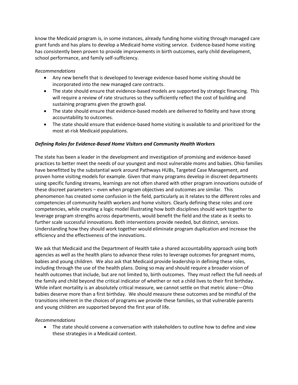know the Medicaid program is, in some instances, already funding home visiting through managed care grant funds and has plans to develop a Medicaid home visiting service. Evidence-based home visiting has consistently been proven to provide improvements in birth outcomes, early child development, school performance, and family self-sufficiency.

# *Recommendations*

- Any new benefit that is developed to leverage evidence-based home visiting should be incorporated into the new managed care contracts.
- The state should ensure that evidence-based models are supported by strategic financing. This will require a review of rate structures so they sufficiently reflect the cost of building and sustaining programs given the growth goal.
- The state should ensure that evidence-based models are delivered to fidelity and have strong accountability to outcomes.
- The state should ensure that evidence-based home visiting is available to and prioritized for the most at-risk Medicaid populations.

# *Defining Roles for Evidence-Based Home Visitors and Community Health Workers*

The state has been a leader in the development and investigation of promising and evidence-based practices to better meet the needs of our youngest and most vulnerable moms and babies. Ohio families have benefitted by the substantial work around Pathways HUBs, Targeted Case Management, and proven home visiting models for example. Given that many programs develop in discreet departments using specific funding streams, learnings are not often shared with other program innovations outside of these discreet parameters – even when program objectives and outcomes are similar. This phenomenon has created some confusion in the field, particularly as it relates to the different roles and competencies of community health workers and home visitors. Clearly defining these roles and core competencies, while creating a logic model illustrating how both disciplines should work together to leverage program strengths across departments, would benefit the field and the state as it seeks to further scale successful innovations. Both interventions provide needed, but distinct, services. Understanding how they should work together would eliminate program duplication and increase the efficiency and the effectiveness of the innovations.

We ask that Medicaid and the Department of Health take a shared accountability approach using both agencies as well as the health plans to advance these roles to leverage outcomes for pregnant moms, babies and young children. We also ask that Medicaid provide leadership in defining these roles, including through the use of the health plans. Doing so may and should require a broader vision of health outcomes that include, but are not limited to, birth outcomes. They must reflect the full needs of the family and child beyond the critical indicator of whether or not a child lives to their first birthday. While infant mortality is an absolutely critical measure, we cannot settle on that metric alone—Ohio babies deserve more than a first birthday. We should measure these outcomes and be mindful of the transitions inherent in the choices of programs we provide these families, so that vulnerable parents and young children are supported beyond the first year of life.

## *Recommendations*

• The state should convene a conversation with stakeholders to outline how to define and view these strategies in a Medicaid context.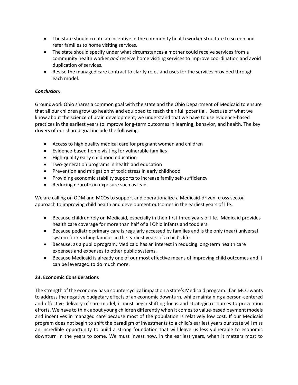- The state should create an incentive in the community health worker structure to screen and refer families to home visiting services.
- The state should specify under what circumstances a mother could receive services from a community health worker *and* receive home visiting services to improve coordination and avoid duplication of services.
- Revise the managed care contract to clarify roles and uses for the services provided through each model.

# *Conclusion:*

Groundwork Ohio shares a common goal with the state and the Ohio Department of Medicaid to ensure that all our children grow up healthy and equipped to reach their full potential. Because of what we know about the science of brain development, we understand that we have to use evidence-based practices in the earliest years to improve long-term outcomes in learning, behavior, and health. The key drivers of our shared goal include the following:

- Access to high quality medical care for pregnant women and children
- Evidence-based home visiting for vulnerable families
- High-quality early childhood education
- Two-generation programs in health and education
- Prevention and mitigation of toxic stress in early childhood
- Providing economic stability supports to increase family self-sufficiency
- Reducing neurotoxin exposure such as lead

We are calling on ODM and MCOs to support and operationalize a Medicaid-driven, cross sector approach to improving child health and development outcomes in the earliest years of life…

- Because children rely on Medicaid, especially in their first three years of life. Medicaid provides health care coverage for more than half of all Ohio infants and toddlers.
- Because pediatric primary care is regularly accessed by families and is the only (near) universal system for reaching families in the earliest years of a child's life.
- Because, as a public program, Medicaid has an interest in reducing long-term health care expenses and expenses to other public systems.
- Because Medicaid is already one of our most effective means of improving child outcomes and it can be leveraged to do much more.

# **23. Economic Considerations**

The strength of the economy has a countercyclical impact on a state's Medicaid program. If an MCO wants to address the negative budgetary effects of an economic downturn, while maintaining a person-centered and effective delivery of care model, it must begin shifting focus and strategic resources to prevention efforts. We have to think about young children differently when it comes to value-based payment models and incentives in managed care because most of the population is relatively low cost. If our Medicaid program does not begin to shift the paradigm of investments to a child's earliest years our state will miss an incredible opportunity to build a strong foundation that will leave us less vulnerable to economic downturn in the years to come. We must invest now, in the earliest years, when it matters most to